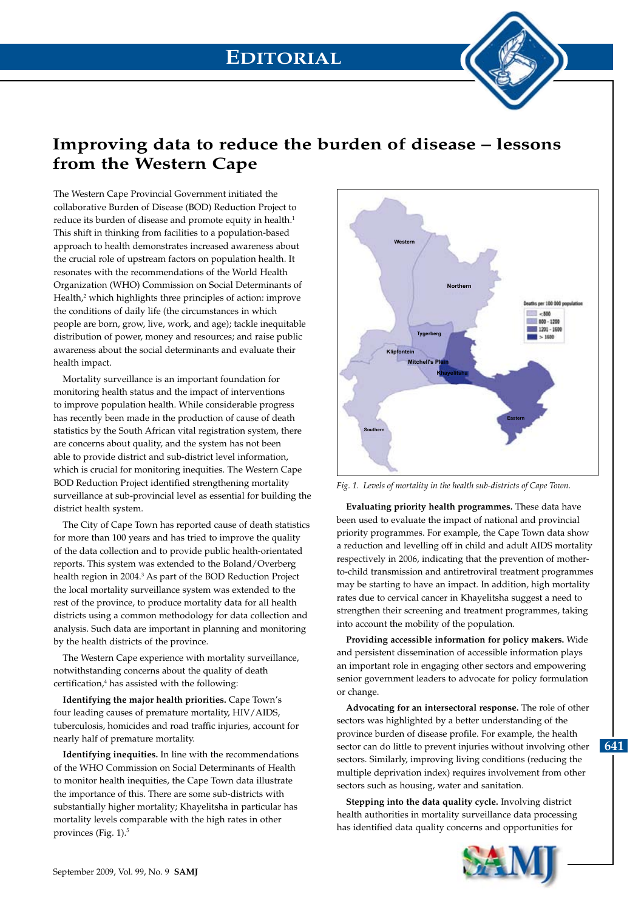# **EDITORIAL**

## **Improving data to reduce the burden of disease – lessons from the Western Cape**

The Western Cape Provincial Government initiated the collaborative Burden of Disease (BOD) Reduction Project to reduce its burden of disease and promote equity in health.<sup>1</sup> This shift in thinking from facilities to a population-based approach to health demonstrates increased awareness about the crucial role of upstream factors on population health. It resonates with the recommendations of the World Health Organization (WHO) Commission on Social Determinants of Health,<sup>2</sup> which highlights three principles of action: improve the conditions of daily life (the circumstances in which people are born, grow, live, work, and age); tackle inequitable distribution of power, money and resources; and raise public awareness about the social determinants and evaluate their health impact.

Mortality surveillance is an important foundation for monitoring health status and the impact of interventions to improve population health. While considerable progress has recently been made in the production of cause of death statistics by the South African vital registration system, there are concerns about quality, and the system has not been able to provide district and sub-district level information, which is crucial for monitoring inequities. The Western Cape BOD Reduction Project identified strengthening mortality surveillance at sub-provincial level as essential for building the district health system.

The City of Cape Town has reported cause of death statistics for more than 100 years and has tried to improve the quality of the data collection and to provide public health-orientated reports. This system was extended to the Boland/Overberg health region in 2004.<sup>3</sup> As part of the BOD Reduction Project the local mortality surveillance system was extended to the rest of the province, to produce mortality data for all health districts using a common methodology for data collection and analysis. Such data are important in planning and monitoring by the health districts of the province.

The Western Cape experience with mortality surveillance, notwithstanding concerns about the quality of death certification,<sup>4</sup> has assisted with the following:

**Identifying the major health priorities.** Cape Town's four leading causes of premature mortality, HIV/AIDS, tuberculosis, homicides and road traffic injuries, account for nearly half of premature mortality.

**Identifying inequities.** In line with the recommendations of the WHO Commission on Social Determinants of Health to monitor health inequities, the Cape Town data illustrate the importance of this. There are some sub-districts with substantially higher mortality; Khayelitsha in particular has mortality levels comparable with the high rates in other provinces (Fig. 1).<sup>5</sup>



Fig. 1. Levels of mortality in the health sub-districts of Cape Town.

**Evaluating priority health programmes.** These data have been used to evaluate the impact of national and provincial priority programmes. For example, the Cape Town data show a reduction and levelling off in child and adult AIDS mortality respectively in 2006, indicating that the prevention of motherto-child transmission and antiretroviral treatment programmes may be starting to have an impact. In addition, high mortality rates due to cervical cancer in Khayelitsha suggest a need to strengthen their screening and treatment programmes, taking into account the mobility of the population.

**Providing accessible information for policy makers.** Wide and persistent dissemination of accessible information plays an important role in engaging other sectors and empowering senior government leaders to advocate for policy formulation or change.

**Advocating for an intersectoral response.** The role of other sectors was highlighted by a better understanding of the province burden of disease profile. For example, the health sector can do little to prevent injuries without involving other sectors. Similarly, improving living conditions (reducing the multiple deprivation index) requires involvement from other sectors such as housing, water and sanitation.

**Stepping into the data quality cycle.** Involving district health authorities in mortality surveillance data processing has identified data quality concerns and opportunities for